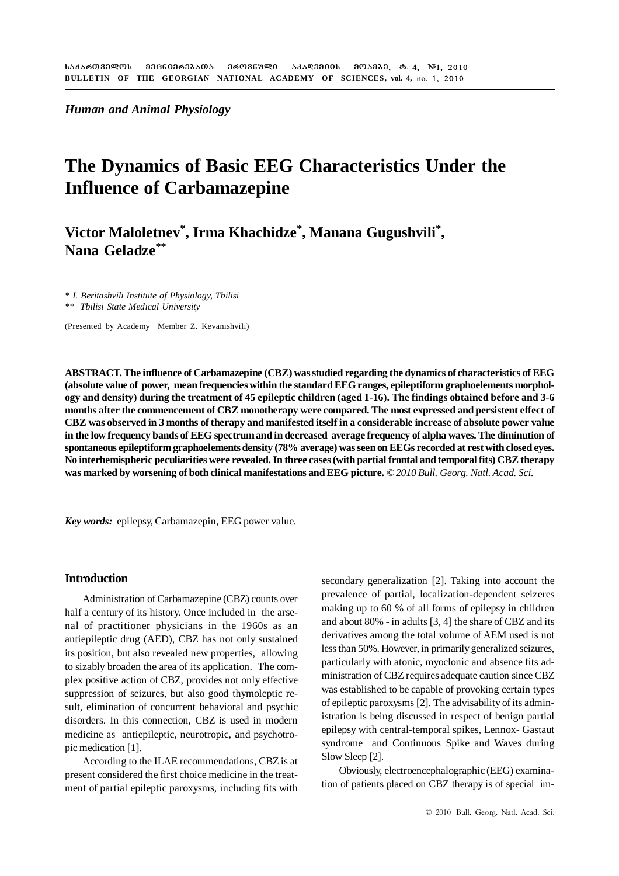*Human and Animal Physiology*

## **The Dynamics of Basic EEG Characteristics Under the Influence of Carbamazepine**

**Victor Maloletnev\*, Irma Khachidze\*, Manana Gugushvili\*, Nana Geladze\*\***

*\* I. Beritashvili Institute of Physiology, Tbilisi \*\* Tbilisi State Medical University*

(Presented by Academy Member Z. Kevanishvili)

**ABSTRACT. The influence of Carbamazepine (CBZ) was studied regarding the dynamics of characteristics of EEG (absolute value of power, mean frequencies within the standard EEG ranges, epileptiform graphoelements morphology and density) during the treatment of 45 epileptic children (aged 1-16). The findings obtained before and 3-6 months after the commencement of CBZ monotherapy were compared. The most expressed and persistent effect of CBZ was observed in 3 months of therapy and manifested itself in a considerable increase of absolute power value in the low frequency bands of EEG spectrum and in decreased average frequency of alpha waves. The diminution of spontaneous epileptiform graphoelements density (78% average) was seen on EEGs recorded at rest with closed eyes. No interhemispheric peculiarities were revealed. In three cases (with partial frontal and temporal fits) CBZ therapy was marked by worsening of both clinical manifestations and EEG picture.** *© 2010 Bull. Georg. Natl. Acad. Sci.*

*Key words:* epilepsy, Carbamazepin, EEG power value*.*

#### **Introduction**

Administration of Carbamazepine (CBZ) counts over half a century of its history. Once included in the arsenal of practitioner physicians in the 1960s as an antiepileptic drug (AED), CBZ has not only sustained its position, but also revealed new properties, allowing to sizably broaden the area of its application. The complex positive action of CBZ, provides not only effective suppression of seizures, but also good thymoleptic result, elimination of concurrent behavioral and psychic disorders. In this connection, CBZ is used in modern medicine as antiepileptic, neurotropic, and psychotropic medication [1].

According to the ILAE recommendations, CBZ is at present considered the first choice medicine in the treatment of partial epileptic paroxysms, including fits with

secondary generalization [2]. Taking into account the prevalence of partial, localization-dependent seizeres making up to 60 % of all forms of epilepsy in children and about 80% - in adults [3, 4] the share of CBZ and its derivatives among the total volume of AEM used is not less than 50%. However, in primarily generalized seizures, particularly with atonic, myoclonic and absence fits administration of CBZ requires adequate caution since CBZ was established to be capable of provoking certain types of epileptic paroxysms [2]. The advisability of its administration is being discussed in respect of benign partial epilepsy with central-temporal spikes, Lennox- Gastaut syndrome and Continuous Spike and Waves during Slow Sleep [2].

Obviously, electroencephalographic (EEG) examination of patients placed on CBZ therapy is of special im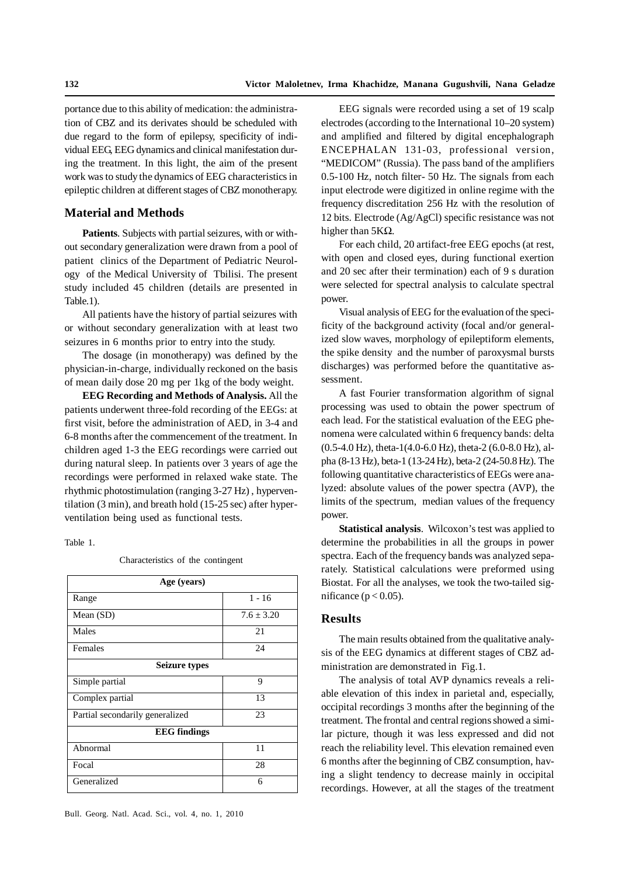portance due to this ability of medication: the administration of CBZ and its derivates should be scheduled with due regard to the form of epilepsy, specificity of individual EEG, EEG dynamics and clinical manifestation during the treatment. In this light, the aim of the present work was to study the dynamics of EEG characteristics in epileptic children at different stages of CBZ monotherapy.

#### **Material and Methods**

**Patients***.* Subjects with partial seizures, with or without secondary generalization were drawn from a pool of patient clinics of the Department of Pediatric Neurology of the Medical University of Tbilisi. The present study included 45 children (details are presented in Table.1).

All patients have the history of partial seizures with or without secondary generalization with at least two seizures in 6 months prior to entry into the study.

The dosage (in monotherapy) was defined by the physician-in-charge, individually reckoned on the basis of mean daily dose 20 mg per 1kg of the body weight.

**EEG Recording and Methods of Analysis.** All the patients underwent three-fold recording of the EEGs: at first visit, before the administration of AED, in 3-4 and 6-8 months after the commencement of the treatment. In children aged 1-3 the EEG recordings were carried out during natural sleep. In patients over 3 years of age the recordings were performed in relaxed wake state. The rhythmic photostimulation (ranging 3-27 Hz) , hyperventilation (3 min), and breath hold (15-25 sec) after hyperventilation being used as functional tests.

#### Table 1.

Characteristics of the contingent

| Age (years)                     |              |  |  |  |  |  |  |  |  |  |
|---------------------------------|--------------|--|--|--|--|--|--|--|--|--|
| Range                           | $1 - 16$     |  |  |  |  |  |  |  |  |  |
| Mean $(SD)$                     | $7.6 + 3.20$ |  |  |  |  |  |  |  |  |  |
| Males                           | 21           |  |  |  |  |  |  |  |  |  |
| Females                         | 24           |  |  |  |  |  |  |  |  |  |
| <b>Seizure types</b>            |              |  |  |  |  |  |  |  |  |  |
| Simple partial                  | 9            |  |  |  |  |  |  |  |  |  |
| Complex partial                 | 13           |  |  |  |  |  |  |  |  |  |
| Partial secondarily generalized | 23           |  |  |  |  |  |  |  |  |  |
| <b>EEG</b> findings             |              |  |  |  |  |  |  |  |  |  |
| Abnormal                        | 11           |  |  |  |  |  |  |  |  |  |
| Focal                           | 28           |  |  |  |  |  |  |  |  |  |
| Generalized                     | 6            |  |  |  |  |  |  |  |  |  |

EEG signals were recorded using a set of 19 scalp electrodes (according to the International 10–20 system) and amplified and filtered by digital encephalograph ENCEPHALAN 131-03, professional version, "MEDICOM" (Russia). The pass band of the amplifiers 0.5-100 Hz, notch filter- 50 Hz. The signals from each input electrode were digitized in online regime with the frequency discreditation 256 Hz with the resolution of 12 bits. Electrode (Ag/AgCl) specific resistance was not higher than  $5K\Omega$ .

For each child, 20 artifact-free EEG epochs (at rest, with open and closed eyes, during functional exertion and 20 sec after their termination) each of 9 s duration were selected for spectral analysis to calculate spectral power.

Visual analysis of EEG for the evaluation of the specificity of the background activity (focal and/or generalized slow waves, morphology of epileptiform elements, the spike density and the number of paroxysmal bursts discharges) was performed before the quantitative assessment.

A fast Fourier transformation algorithm of signal processing was used to obtain the power spectrum of each lead. For the statistical evaluation of the EEG phenomena were calculated within 6 frequency bands: delta (0.5-4.0 Hz), theta-1(4.0-6.0 Hz), theta-2 (6.0-8.0 Hz), alpha (8-13 Hz), beta-1 (13-24 Hz), beta-2 (24-50.8 Hz). The following quantitative characteristics of EEGs were analyzed: absolute values of the power spectra (AVP), the limits of the spectrum, median values of the frequency power.

**Statistical analysis**. Wilcoxon's test was applied to determine the probabilities in all the groups in power spectra. Each of the frequency bands was analyzed separately. Statistical calculations were preformed using Biostat. For all the analyses, we took the two-tailed significance ( $p < 0.05$ ).

### **Results**

The main results obtained from the qualitative analysis of the EEG dynamics at different stages of CBZ administration are demonstrated in Fig.1.

The analysis of total AVP dynamics reveals a reliable elevation of this index in parietal and, especially, occipital recordings 3 months after the beginning of the treatment. The frontal and central regions showed a similar picture, though it was less expressed and did not reach the reliability level. This elevation remained even 6 months after the beginning of CBZ consumption, having a slight tendency to decrease mainly in occipital recordings. However, at all the stages of the treatment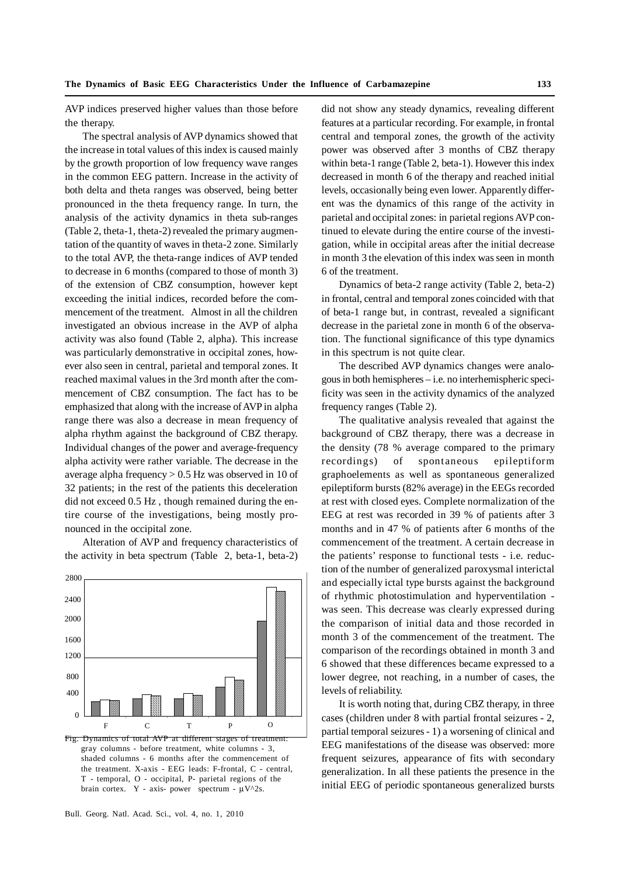AVP indices preserved higher values than those before the therapy.

The spectral analysis of AVP dynamics showed that the increase in total values of this index is caused mainly by the growth proportion of low frequency wave ranges in the common EEG pattern. Increase in the activity of both delta and theta ranges was observed, being better pronounced in the theta frequency range. In turn, the analysis of the activity dynamics in theta sub-ranges (Table 2, theta-1, theta-2) revealed the primary augmentation of the quantity of waves in theta-2 zone. Similarly to the total AVP, the theta-range indices of AVP tended to decrease in 6 months (compared to those of month 3) of the extension of CBZ consumption, however kept exceeding the initial indices, recorded before the commencement of the treatment. Almost in all the children investigated an obvious increase in the AVP of alpha activity was also found (Table 2, alpha). This increase was particularly demonstrative in occipital zones, however also seen in central, parietal and temporal zones. It reached maximal values in the 3rd month after the commencement of CBZ consumption. The fact has to be emphasized that along with the increase of AVP in alpha range there was also a decrease in mean frequency of alpha rhythm against the background of CBZ therapy. Individual changes of the power and average-frequency alpha activity were rather variable. The decrease in the average alpha frequency > 0.5 Hz was observed in 10 of 32 patients; in the rest of the patients this deceleration did not exceed 0.5 Hz , though remained during the entire course of the investigations, being mostly pronounced in the occipital zone.

Alteration of AVP and frequency characteristics of the activity in beta spectrum (Table 2, beta-1, beta-2)



shaded columns - 6 months after the commencement of the treatment. X-axis - EEG leads: F-frontal, C - central, T - temporal, O - occipital, P- parietal regions of the brain cortex. Y - axis- power spectrum -  $\mu V^2$ s.

did not show any steady dynamics, revealing different features at a particular recording. For example, in frontal central and temporal zones, the growth of the activity power was observed after 3 months of CBZ therapy within beta-1 range (Table 2, beta-1). However this index decreased in month 6 of the therapy and reached initial levels, occasionally being even lower. Apparently different was the dynamics of this range of the activity in parietal and occipital zones: in parietal regions AVP continued to elevate during the entire course of the investigation, while in occipital areas after the initial decrease in month 3 the elevation of this index was seen in month 6 of the treatment.

Dynamics of beta-2 range activity (Table 2, beta-2) in frontal, central and temporal zones coincided with that of beta-1 range but, in contrast, revealed a significant decrease in the parietal zone in month 6 of the observation. The functional significance of this type dynamics in this spectrum is not quite clear.

The described AVP dynamics changes were analogous in both hemispheres – i.e. no interhemispheric specificity was seen in the activity dynamics of the analyzed frequency ranges (Table 2).

The qualitative analysis revealed that against the background of CBZ therapy, there was a decrease in the density (78 % average compared to the primary recordings) of spontaneous epileptiform graphoelements as well as spontaneous generalized epileptiform bursts (82% average) in the EEGs recorded at rest with closed eyes. Complete normalization of the EEG at rest was recorded in 39 % of patients after 3 months and in 47 % of patients after 6 months of the commencement of the treatment. A certain decrease in the patients' response to functional tests - i.e. reduction of the number of generalized paroxysmal interictal and especially ictal type bursts against the background of rhythmic photostimulation and hyperventilation was seen. This decrease was clearly expressed during the comparison of initial data and those recorded in month 3 of the commencement of the treatment. The comparison of the recordings obtained in month 3 and 6 showed that these differences became expressed to a lower degree, not reaching, in a number of cases, the levels of reliability.

It is worth noting that, during CBZ therapy, in three cases (children under 8 with partial frontal seizures - 2, partial temporal seizures - 1) a worsening of clinical and EEG manifestations of the disease was observed: more frequent seizures, appearance of fits with secondary generalization. In all these patients the presence in the initial EEG of periodic spontaneous generalized bursts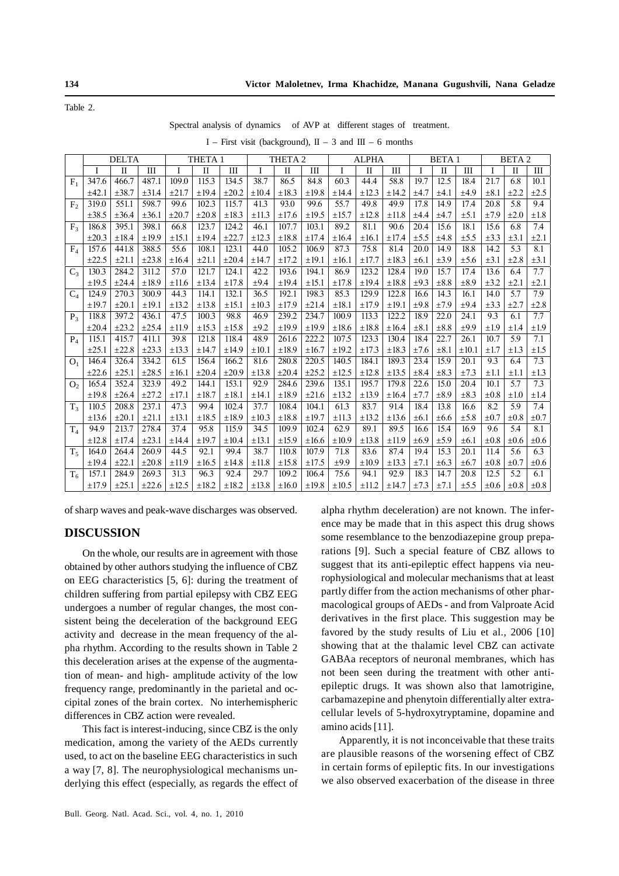Table 2.

Spectral analysis of dynamics of AVP at different stages of treatment.

|  |  | I – First visit (background), $II - 3$ and $III - 6$ months |  |  |  |  |  |  |  |
|--|--|-------------------------------------------------------------|--|--|--|--|--|--|--|
|--|--|-------------------------------------------------------------|--|--|--|--|--|--|--|

|                | <b>DELTA</b> |              | THETA <sub>1</sub> |            |              | THETA <sub>2</sub> |            |              | <b>ALPHA</b> |            |              | <b>BETA1</b> |           |              | <b>BETA2</b> |           |              |           |
|----------------|--------------|--------------|--------------------|------------|--------------|--------------------|------------|--------------|--------------|------------|--------------|--------------|-----------|--------------|--------------|-----------|--------------|-----------|
|                | I            | $\mathbf{I}$ | IΠ                 | I          | $\mathbf{I}$ | III                | Ī          | $\mathbf{I}$ | III          | I          | $\mathbf{I}$ | III          | I         | $\mathbf{I}$ | III          | T         | $\mathbf{I}$ | III       |
| $F_1$          | 347.6        | 466.7        | 487.1              | 109.0      | 115.3        | 134.5              | 38.7       | 86.5         | 84.8         | 60.3       | 44.4         | 58.8         | 19.7      | 12.5         | 18.4         | 21.7      | 6.8          | 10.1      |
|                | ±42.1        | ±38.7        | $\pm 31.4$         | ±21.7      | ±19.4        | $\pm 20.2$         | ±10.4      | $\pm 18.3$   | $\pm 19.8$   | ±14.4      | $\pm 12.3$   | ±14.2        | $\pm 4.7$ | ±4.1         | ±4.9         | $\pm 8.1$ | $+2.2$       | $\pm 2.5$ |
| F <sub>2</sub> | 319.0        | 551.1        | 598.7              | 99.6       | 102.3        | 115.7              | 41.3       | 93.0         | 99.6         | 55.7       | 49.8         | 49.9         | 17.8      | 14.9         | 17.4         | 20.8      | 5.8          | 9.4       |
|                | $\pm 38.5$   | $\pm 36.4$   | $\pm 36.1$         | $\pm 20.7$ | $\pm 20.8$   | $\pm 18.3$         | $\pm 11.3$ | ±17.6        | ±19.5        | $\pm 15.7$ | ±12.8        | $\pm 11.8$   | ±4.4      | ±4.7         | $\pm$ 5.1    | ±7.9      | $\pm 2.0$    | ±1.8      |
| F <sub>3</sub> | 186.8        | 395.1        | 398.1              | 66.8       | 123.7        | 124.2              | 46.1       | 107.7        | 103.1        | 89.2       | 81.1         | 90.6         | 20.4      | 15.6         | 18.1         | 15.6      | 6.8          | 7.4       |
|                | $\pm 20.3$   | $\pm 18.4$   | $\pm 19.9$         | $\pm 15.1$ | ±19.4        | $\pm 22.7$         | ±12.3      | $\pm 18.8$   | ±17.4        | ±16.4      | ±16.1        | $\pm 17.4$   | $\pm$ 5.5 | ±4.8         | $\pm$ 5.5    | $\pm 3.3$ | $\pm 3.1$    | $\pm 2.1$ |
| $F_4$          | 157.6        | 441.8        | 388.5              | 55.6       | 108.1        | 123.1              | 44.0       | 105.2        | 106.9        | 87.3       | 75.8         | 81.4         | 20.0      | 14.9         | 18.8         | 14.2      | 5.3          | 8.1       |
|                | $\pm 22.5$   | $\pm 21.1$   | $\pm 23.8$         | ±16.4      | $\pm 21.1$   | $\pm 20.4$         | $\pm 14.7$ | ±17.2        | $\pm 19.1$   | $\pm 16.1$ | ±17.7        | $\pm 18.3$   | $\pm 6.1$ | $\pm 3.9$    | $\pm$ 5.6    | $\pm 3.1$ | $\pm 2.8$    | $\pm 3.1$ |
| $C_3$          | 130.3        | 284.2        | 311.2              | 57.0       | 121.7        | 124.1              | 42.2       | 193.6        | 194.1        | 86.9       | 123.2        | 128.4        | 19.0      | 15.7         | 17.4         | 13.6      | 6.4          | 7.7       |
|                | $\pm 19.5$   | ±24.4        | ±18.9              | $\pm 11.6$ | ±13.4        | $\pm 17.8$         | ±9.4       | ±19.4        | $\pm 15.1$   | ±17.8      | ±19.4        | $\pm 18.8$   | $\pm 9.3$ | $\pm 8.8$    | $\pm 8.9$    | $\pm 3.2$ | $\pm 2.1$    | $\pm 2.1$ |
| $C_4$          | 124.9        | 270.3        | 300.9              | 44.3       | 114.1        | 132.1              | 36.5       | 192.1        | 198.3        | 85.3       | 129.9        | 122.8        | 16.6      | 14.3         | 16.1         | 14.0      | 5.7          | 7.9       |
|                | $\pm 19.7$   | $\pm 20.1$   | $\pm 19.1$         | $\pm$ 13.2 | $\pm 13.8$   | $\pm 15.1$         | $\pm 10.3$ | $\pm 17.9$   | ±21.4        | $\pm 18.1$ | ±17.9        | $\pm 19.1$   | $\pm 9.8$ | ±7.9         | ±9.4         | $\pm 3.3$ | $\pm 2.7$    | $\pm 2.8$ |
| P <sub>3</sub> | 118.8        | 397.2        | 436.1              | 47.5       | 100.3        | 98.8               | 46.9       | 239.2        | 234.7        | 100.9      | 113.3        | 122.2        | 18.9      | 22.0         | 24.1         | 9.3       | 6.1          | 7.7       |
|                | $\pm 20.4$   | $\pm 23.2$   | ±25.4              | $\pm$ 11.9 | $\pm 15.3$   | ±15.8              | $\pm 9.2$  | ±19.9        | ±19.9        | ±18.6      | $\pm 18.8$   | ±16.4        | $\pm 8.1$ | $\pm 8.8$    | ±9.9         | $\pm 1.9$ | ±1.4         | $\pm 1.9$ |
| $P_4$          | 115.1        | 415.7        | 411.1              | 39.8       | 121.8        | 118.4              | 48.9       | 261.6        | 222.2        | 107.5      | 123.3        | 130.4        | 18.4      | 22.7         | 26.1         | 10.7      | 5.9          | 7.1       |
|                | $\pm 25.1$   | $\pm 22.8$   | $\pm 23.3$         | $\pm$ 13.3 | $\pm 14.7$   | ±14.9              | $\pm 10.1$ | $\pm 18.9$   | $\pm 16.7$   | ±19.2      | $\pm 17.3$   | $\pm 18.3$   | ±7.6      | $\pm 8.1$    | $\pm 10.1$   | $\pm 1.7$ | $\pm 1.3$    | $\pm 1.5$ |
| O <sub>1</sub> | 146.4        | 326.4        | 334.2              | 61.5       | 156.4        | 166.2              | 81.6       | 280.8        | 220.5        | 140.5      | 184.1        | 189.3        | 23.4      | 15.9         | 20.1         | 9.3       | 6.4          | 7.3       |
|                | $\pm 22.6$   | $\pm 25.1$   | ±28.5              | $\pm 16.1$ | $\pm 20.4$   | $\pm 20.9$         | $\pm 13.8$ | $\pm 20.4$   | $\pm 25.2$   | ±12.5      | ±12.8        | ±13.5        | $\pm 8.4$ | $\pm 8.3$    | $\pm 7.3$    | $\pm 1.1$ | ±1.1         | $\pm 1.3$ |
| O <sub>2</sub> | 165.4        | 352.4        | 323.9              | 49.2       | 144.1        | 153.1              | 92.9       | 284.6        | 239.6        | 135.1      | 195.7        | 179.8        | 22.6      | 15.0         | 20.4         | 10.1      | 5.7          | 7.3       |
|                | $\pm 19.8$   | $\pm 26.4$   | ±27.2              | $\pm 17.1$ | $\pm 18.7$   | $\pm 18.1$         | ±14.1      | ±18.9        | $\pm 21.6$   | $\pm 13.2$ | $\pm 13.9$   | ±16.4        | ±7.7      | $\pm 8.9$    | $\pm 8.3$    | $\pm 0.8$ | $\pm 1.0$    | ±1.4      |
| $T_3$          | 110.5        | 208.8        | 237.1              | 47.3       | 99.4         | 102.4              | 37.7       | 108.4        | 104.1        | 61.3       | 83.7         | 91.4         | 18.4      | 13.8         | 16.6         | 8.2       | 5.9          | 7.4       |
|                | $\pm 13.6$   | $\pm 20.1$   | $\pm 21.1$         | $\pm$ 13.1 | $\pm 18.5$   | $\pm 18.9$         | $\pm 10.3$ | $\pm 18.8$   | $\pm 19.7$   | $\pm 11.3$ | $\pm 13.2$   | ±13.6        | $\pm 6.1$ | $\pm 6.6$    | $\pm$ 5.8    | $\pm 0.7$ | $\pm 0.8$    | $\pm 0.7$ |
| $T_4$          | 94.9         | 213.7        | 278.4              | 37.4       | 95.8         | 115.9              | 34.5       | 109.9        | 102.4        | 62.9       | 89.1         | 89.5         | 16.6      | 15.4         | 16.9         | 9.6       | 5.4          | 8.1       |
|                | ±12.8        | $\pm 17.4$   | $\pm 23.1$         | ±14.4      | $\pm 19.7$   | $\pm 10.4$         | $\pm 13.1$ | ±15.9        | $\pm 16.6$   | $\pm 10.9$ | $\pm 13.8$   | ±11.9        | $\pm 6.9$ | ±5.9         | $\pm 6.1$    | $\pm 0.8$ | $\pm 0.6$    | $\pm 0.6$ |
| $T_{5}$        | 164.0        | 264.4        | 260.9              | 44.5       | 92.1         | 99.4               | 38.7       | 110.8        | 107.9        | 71.8       | 83.6         | 87.4         | 19.4      | 15.3         | 20.1         | 11.4      | 5.6          | 6.3       |
|                | ±19.4        | $\pm 22.1$   | $\pm 20.8$         | $\pm$ 11.9 | $\pm 16.5$   | ±14.8              | $\pm 11.8$ | ±15.8        | ±17.5        | ±9.9       | $\pm 10.9$   | $\pm 13.3$   | ±7.1      | $\pm 6.3$    | $\pm 6.7$    | $\pm 0.8$ | $\pm 0.7$    | $\pm 0.6$ |
| $T_6$          | 157.1        | 284.9        | 269.3              | 31.3       | 96.3         | 92.4               | 29.7       | 109.2        | 106.4        | 75.6       | 94.1         | 92.9         | 18.3      | 14.7         | 20.8         | 12.5      | 5.2          | 6.1       |
|                | ±17.9        | $\pm 25.1$   | $\pm 22.6$         | ±12.5      | ±18.2        | $\pm 18.2$         | ±13.8      | ±16.0        | ±19.8        | $\pm 10.5$ | ±11.2        | $\pm 14.7$   | ±7.3      | ±7.1         | $\pm$ 5.5    | $\pm 0.6$ | $\pm 0.8$    | $\pm 0.8$ |

of sharp waves and peak-wave discharges was observed.

## **DISCUSSION**

On the whole, our results are in agreement with those obtained by other authors studying the influence of CBZ on EEG characteristics [5, 6]: during the treatment of children suffering from partial epilepsy with CBZ EEG undergoes a number of regular changes, the most consistent being the deceleration of the background EEG activity and decrease in the mean frequency of the alpha rhythm. According to the results shown in Table 2 this deceleration arises at the expense of the augmentation of mean- and high- amplitude activity of the low frequency range, predominantly in the parietal and occipital zones of the brain cortex. No interhemispheric differences in CBZ action were revealed.

This fact is interest-inducing, since CBZ is the only medication, among the variety of the AEDs currently used, to act on the baseline EEG characteristics in such a way [7, 8]. The neurophysiological mechanisms underlying this effect (especially, as regards the effect of alpha rhythm deceleration) are not known. The inference may be made that in this aspect this drug shows some resemblance to the benzodiazepine group preparations [9]. Such a special feature of CBZ allows to suggest that its anti-epileptic effect happens via neurophysiological and molecular mechanisms that at least partly differ from the action mechanisms of other pharmacological groups of AEDs - and from Valproate Acid derivatives in the first place. This suggestion may be favored by the study results of Liu et al., 2006 [10] showing that at the thalamic level CBZ can activate GABAa receptors of neuronal membranes, which has not been seen during the treatment with other antiepileptic drugs. It was shown also that lamotrigine, carbamazepine and phenytoin differentially alter extracellular levels of 5-hydroxytryptamine, dopamine and amino acids [11].

Apparently, it is not inconceivable that these traits are plausible reasons of the worsening effect of CBZ in certain forms of epileptic fits. In our investigations we also observed exacerbation of the disease in three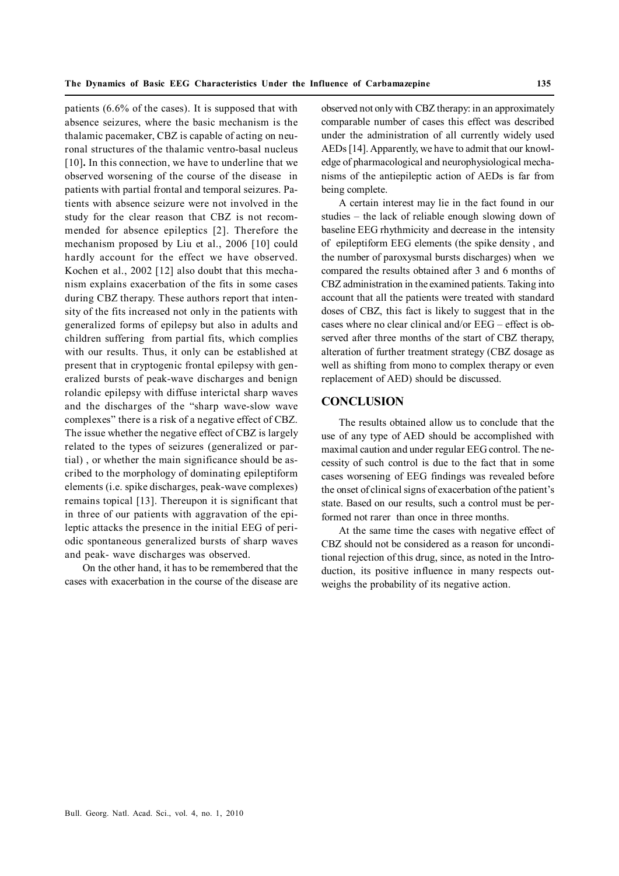patients (6.6% of the cases). It is supposed that with absence seizures, where the basic mechanism is the thalamic pacemaker, CBZ is capable of acting on neuronal structures of the thalamic ventro-basal nucleus [10]**.** In this connection, we have to underline that we observed worsening of the course of the disease in patients with partial frontal and temporal seizures. Patients with absence seizure were not involved in the study for the clear reason that CBZ is not recommended for absence epileptics [2]. Therefore the mechanism proposed by Liu et al., 2006 [10] could hardly account for the effect we have observed. Kochen et al., 2002 [12] also doubt that this mechanism explains exacerbation of the fits in some cases during CBZ therapy. These authors report that intensity of the fits increased not only in the patients with generalized forms of epilepsy but also in adults and children suffering from partial fits, which complies with our results. Thus, it only can be established at present that in cryptogenic frontal epilepsy with generalized bursts of peak-wave discharges and benign rolandic epilepsy with diffuse interictal sharp waves and the discharges of the "sharp wave-slow wave complexes" there is a risk of a negative effect of CBZ. The issue whether the negative effect of CBZ is largely related to the types of seizures (generalized or partial) , or whether the main significance should be ascribed to the morphology of dominating epileptiform elements (i.e. spike discharges, peak-wave complexes) remains topical [13]. Thereupon it is significant that in three of our patients with aggravation of the epileptic attacks the presence in the initial EEG of periodic spontaneous generalized bursts of sharp waves and peak- wave discharges was observed.

On the other hand, it has to be remembered that the cases with exacerbation in the course of the disease are

observed not only with CBZ therapy: in an approximately comparable number of cases this effect was described under the administration of all currently widely used AEDs [14]. Apparently, we have to admit that our knowledge of pharmacological and neurophysiological mechanisms of the antiepileptic action of AEDs is far from being complete.

A certain interest may lie in the fact found in our studies – the lack of reliable enough slowing down of baseline EEG rhythmicity and decrease in the intensity of epileptiform EEG elements (the spike density , and the number of paroxysmal bursts discharges) when we compared the results obtained after 3 and 6 months of CBZ administration in the examined patients. Taking into account that all the patients were treated with standard doses of CBZ, this fact is likely to suggest that in the cases where no clear clinical and/or EEG – effect is observed after three months of the start of CBZ therapy, alteration of further treatment strategy (CBZ dosage as well as shifting from mono to complex therapy or even replacement of AED) should be discussed.

### **CONCLUSION**

The results obtained allow us to conclude that the use of any type of AED should be accomplished with maximal caution and under regular EEG control. The necessity of such control is due to the fact that in some cases worsening of EEG findings was revealed before the onset of clinical signs of exacerbation of the patient's state. Based on our results, such a control must be performed not rarer than once in three months.

At the same time the cases with negative effect of CBZ should not be considered as a reason for unconditional rejection of this drug, since, as noted in the Introduction, its positive influence in many respects outweighs the probability of its negative action.